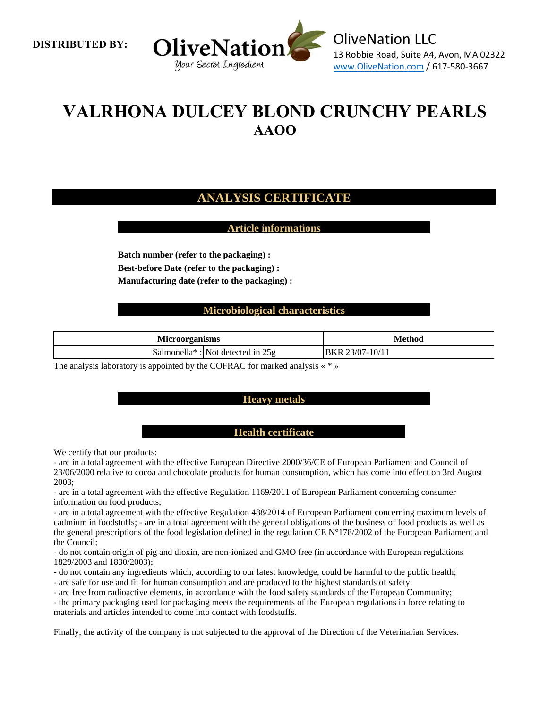**DISTRIBUTED BY:** 



# **VALRHONA DULCEY BLOND CRUNCHY PEARLS AAOO**

# **ANALYSIS CERTIFICATE**

## **Article informations**

**Batch number (refer to the packaging) : Best-before Date (refer to the packaging) : Manufacturing date (refer to the packaging) :**

## **Microbiological characteristics**

| <b>Microorganisms</b> |                                                 | Method                      |
|-----------------------|-------------------------------------------------|-----------------------------|
|                       | Salmonella <sup>*</sup> : Not detected in $25g$ | . 23/07-10/11<br><b>BKR</b> |

The analysis laboratory is appointed by the COFRAC for marked analysis « \* »

#### **Heavy metals**

#### **Health certificate**

We certify that our products:

- are in a total agreement with the effective European Directive 2000/36/CE of European Parliament and Council of 23/06/2000 relative to cocoa and chocolate products for human consumption, which has come into effect on 3rd August 2003;

- are in a total agreement with the effective Regulation 1169/2011 of European Parliament concerning consumer information on food products;

- are in a total agreement with the effective Regulation 488/2014 of European Parliament concerning maximum levels of cadmium in foodstuffs; - are in a total agreement with the general obligations of the business of food products as well as the general prescriptions of the food legislation defined in the regulation CE N°178/2002 of the European Parliament and the Council;

- do not contain origin of pig and dioxin, are non-ionized and GMO free (in accordance with European regulations 1829/2003 and 1830/2003);

- do not contain any ingredients which, according to our latest knowledge, could be harmful to the public health;

- are safe for use and fit for human consumption and are produced to the highest standards of safety.

- are free from radioactive elements, in accordance with the food safety standards of the European Community;

- the primary packaging used for packaging meets the requirements of the European regulations in force relating to materials and articles intended to come into contact with foodstuffs.

Finally, the activity of the company is not subjected to the approval of the Direction of the Veterinarian Services.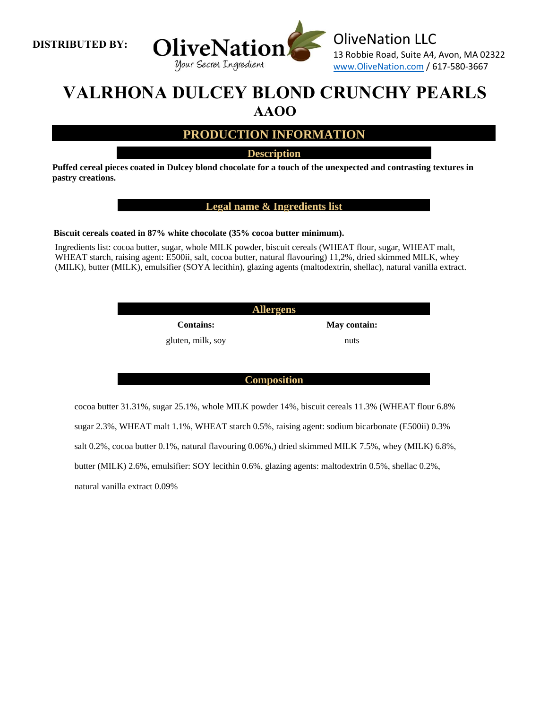



# **VALRHONA DULCEY BLOND CRUNCHY PEARLS AAOO**

# **PRODUCTION INFORMATION**

**Description**

**Puffed cereal pieces coated in Dulcey blond chocolate for a touch of the unexpected and contrasting textures in pastry creations.**

**Legal name & Ingredients list**

**Biscuit cereals coated in 87% white chocolate (35% cocoa butter minimum).**

Ingredients list: cocoa butter, sugar, whole MILK powder, biscuit cereals (WHEAT flour, sugar, WHEAT malt, WHEAT starch, raising agent: E500ii, salt, cocoa butter, natural flavouring) 11,2%, dried skimmed MILK, whey (MILK), butter (MILK), emulsifier (SOYA lecithin), glazing agents (maltodextrin, shellac), natural vanilla extract.

**Allergens**

gluten, milk, soy nuts

**Contains: May contain:**

**Composition**

cocoa butter 31.31%, sugar 25.1%, whole MILK powder 14%, biscuit cereals 11.3% (WHEAT flour 6.8% sugar 2.3%, WHEAT malt 1.1%, WHEAT starch 0.5%, raising agent: sodium bicarbonate (E500ii) 0.3% salt 0.2%, cocoa butter 0.1%, natural flavouring 0.06%,) dried skimmed MILK 7.5%, whey (MILK) 6.8%, butter (MILK) 2.6%, emulsifier: SOY lecithin 0.6%, glazing agents: maltodextrin 0.5%, shellac 0.2%, natural vanilla extract 0.09%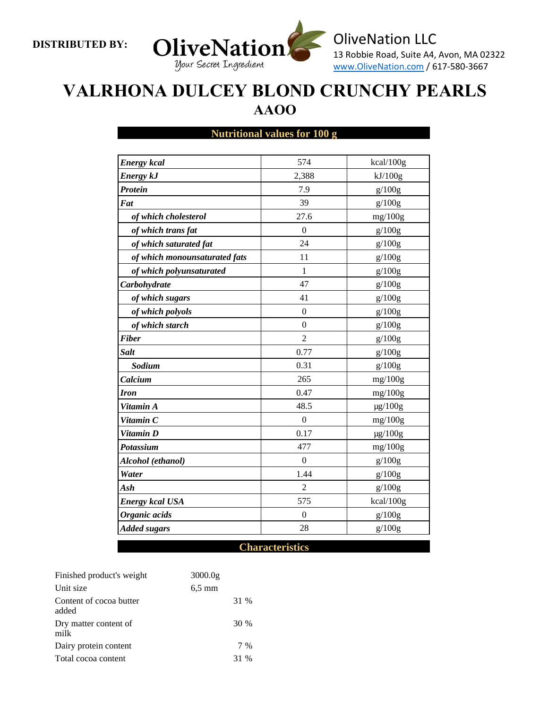**DISTRIBUTED BY:** 



# **VALRHONA DULCEY BLOND CRUNCHY PEARLS AAOO**

## **Nutritional values for 100 g**

| <b>Energy</b> kcal            | 574              | kcal/100g    |
|-------------------------------|------------------|--------------|
| <b>Energy kJ</b>              | 2,388            | kJ/100g      |
| Protein                       | 7.9              | g/100g       |
| Fat                           | 39               | g/100g       |
| of which cholesterol          | 27.6             | mg/100g      |
| of which trans fat            | $\Omega$         | g/100g       |
| of which saturated fat        | 24               | g/100g       |
| of which monounsaturated fats | 11               | g/100g       |
| of which polyunsaturated      | 1                | g/100g       |
| Carbohydrate                  | 47               | g/100g       |
| of which sugars               | 41               | g/100g       |
| of which polyols              | $\theta$         | g/100g       |
| of which starch               | $\boldsymbol{0}$ | g/100g       |
| <b>Fiber</b>                  | $\overline{2}$   | g/100g       |
| <b>Salt</b>                   | 0.77             | g/100g       |
| Sodium                        | 0.31             | g/100g       |
| Calcium                       | 265              | mg/100g      |
| <b>Iron</b>                   | 0.47             | mg/100g      |
| Vitamin A                     | 48.5             | $\mu$ g/100g |
| Vitamin C                     | $\boldsymbol{0}$ | mg/100g      |
| Vitamin D                     | 0.17             | $\mu$ g/100g |
| Potassium                     | 477              | mg/100g      |
| Alcohol (ethanol)             | $\boldsymbol{0}$ | g/100g       |
| Water                         | 1.44             | g/100g       |
| Ash                           | $\overline{2}$   | g/100g       |
| <b>Energy kcal USA</b>        | 575              | kcal/100g    |
| Organic acids                 | $\boldsymbol{0}$ | g/100g       |
| <b>Added sugars</b>           | 28               | g/100g       |

## **Characteristics**

| Finished product's weight        | 3000.0g  |      |     |
|----------------------------------|----------|------|-----|
| Unit size                        | $6,5$ mm |      |     |
| Content of cocoa butter<br>added |          | 31 % |     |
| Dry matter content of<br>milk    |          | 30 % |     |
| Dairy protein content            |          |      | 7 % |
| Total cocoa content              |          | 31 % |     |